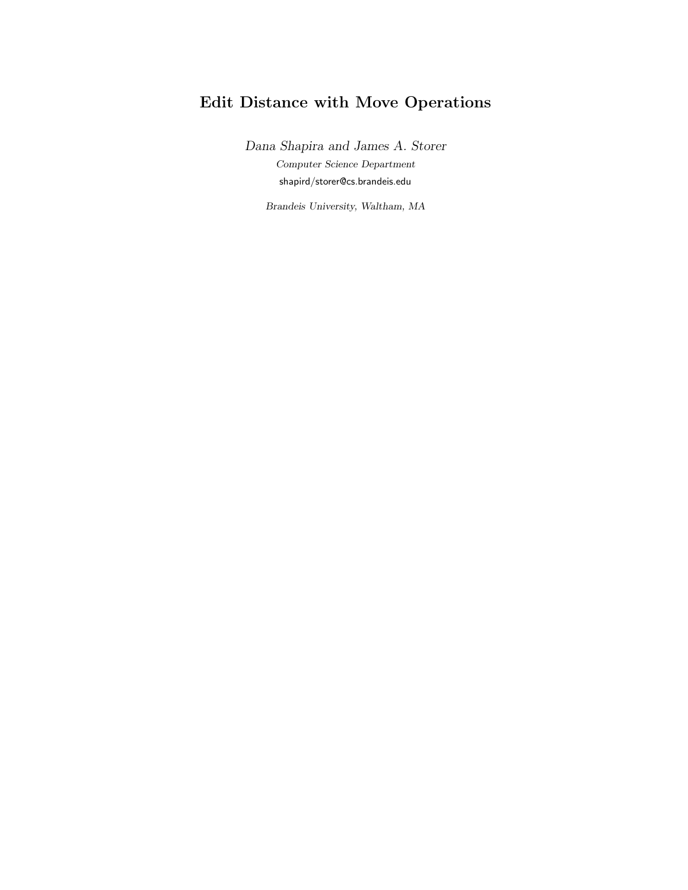# Edit Distance with Move Operations

Dana Shapira and James A. Storer Computer Science Department shapird/storer@cs.brandeis.edu

Brandeis University, Waltham, MA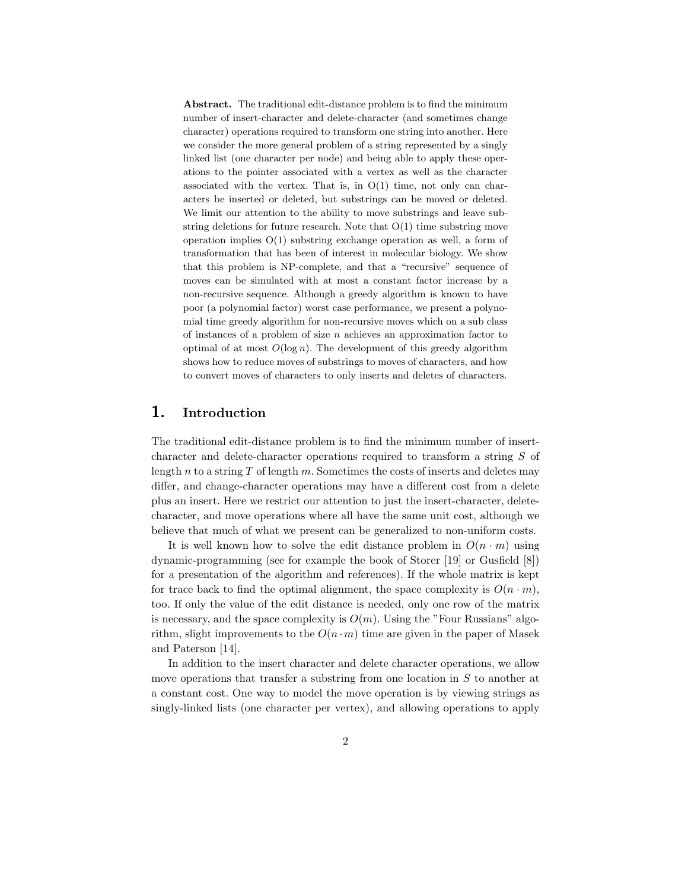Abstract. The traditional edit-distance problem is to find the minimum number of insert-character and delete-character (and sometimes change character) operations required to transform one string into another. Here we consider the more general problem of a string represented by a singly linked list (one character per node) and being able to apply these operations to the pointer associated with a vertex as well as the character associated with the vertex. That is, in  $O(1)$  time, not only can characters be inserted or deleted, but substrings can be moved or deleted. We limit our attention to the ability to move substrings and leave substring deletions for future research. Note that  $O(1)$  time substring move operation implies  $O(1)$  substring exchange operation as well, a form of transformation that has been of interest in molecular biology. We show that this problem is NP-complete, and that a "recursive" sequence of moves can be simulated with at most a constant factor increase by a non-recursive sequence. Although a greedy algorithm is known to have poor (a polynomial factor) worst case performance, we present a polynomial time greedy algorithm for non-recursive moves which on a sub class of instances of a problem of size  $n$  achieves an approximation factor to optimal of at most  $O(\log n)$ . The development of this greedy algorithm shows how to reduce moves of substrings to moves of characters, and how to convert moves of characters to only inserts and deletes of characters.

#### 1. Introduction

The traditional edit-distance problem is to find the minimum number of insertcharacter and delete-character operations required to transform a string S of length n to a string  $T$  of length  $m$ . Sometimes the costs of inserts and deletes may differ, and change-character operations may have a different cost from a delete plus an insert. Here we restrict our attention to just the insert-character, deletecharacter, and move operations where all have the same unit cost, although we believe that much of what we present can be generalized to non-uniform costs.

It is well known how to solve the edit distance problem in  $O(n \cdot m)$  using dynamic-programming (see for example the book of Storer [19] or Gusfield [8]) for a presentation of the algorithm and references). If the whole matrix is kept for trace back to find the optimal alignment, the space complexity is  $O(n \cdot m)$ , too. If only the value of the edit distance is needed, only one row of the matrix is necessary, and the space complexity is  $O(m)$ . Using the "Four Russians" algorithm, slight improvements to the  $O(n \cdot m)$  time are given in the paper of Masek and Paterson [14].

In addition to the insert character and delete character operations, we allow move operations that transfer a substring from one location in  $S$  to another at a constant cost. One way to model the move operation is by viewing strings as singly-linked lists (one character per vertex), and allowing operations to apply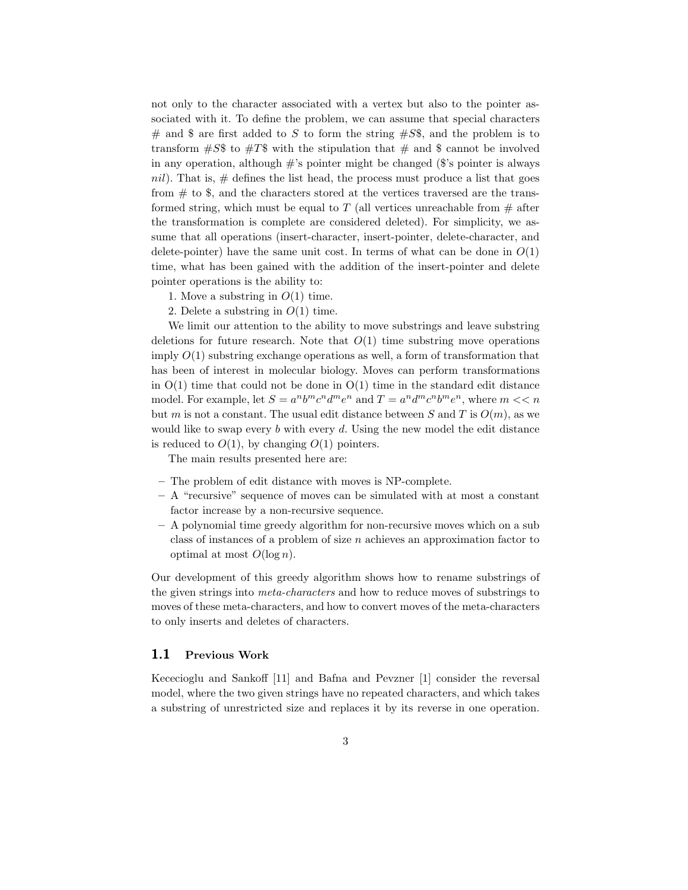not only to the character associated with a vertex but also to the pointer associated with it. To define the problem, we can assume that special characters  $#$  and \$ are first added to S to form the string  $#S\$ \$, and the problem is to transform  $\#S\$$  to  $\#T\$$  with the stipulation that  $\#$  and  $\$$  cannot be involved in any operation, although  $\#$ 's pointer might be changed ( $\$\$ 's pointer is always nil). That is,  $\#$  defines the list head, the process must produce a list that goes from  $\#$  to \$, and the characters stored at the vertices traversed are the transformed string, which must be equal to T (all vertices unreachable from  $\#$  after the transformation is complete are considered deleted). For simplicity, we assume that all operations (insert-character, insert-pointer, delete-character, and delete-pointer) have the same unit cost. In terms of what can be done in  $O(1)$ time, what has been gained with the addition of the insert-pointer and delete pointer operations is the ability to:

- 1. Move a substring in  $O(1)$  time.
- 2. Delete a substring in  $O(1)$  time.

We limit our attention to the ability to move substrings and leave substring deletions for future research. Note that  $O(1)$  time substring move operations imply  $O(1)$  substring exchange operations as well, a form of transformation that has been of interest in molecular biology. Moves can perform transformations in  $O(1)$  time that could not be done in  $O(1)$  time in the standard edit distance model. For example, let  $S = a^n b^m c^n d^m e^n$  and  $T = a^n d^m c^n b^m e^n$ , where  $m \ll n$ but m is not a constant. The usual edit distance between S and T is  $O(m)$ , as we would like to swap every  $b$  with every  $d$ . Using the new model the edit distance is reduced to  $O(1)$ , by changing  $O(1)$  pointers.

The main results presented here are:

- The problem of edit distance with moves is NP-complete.
- A "recursive" sequence of moves can be simulated with at most a constant factor increase by a non-recursive sequence.
- A polynomial time greedy algorithm for non-recursive moves which on a sub class of instances of a problem of size  $n$  achieves an approximation factor to optimal at most  $O(\log n)$ .

Our development of this greedy algorithm shows how to rename substrings of the given strings into meta-characters and how to reduce moves of substrings to moves of these meta-characters, and how to convert moves of the meta-characters to only inserts and deletes of characters.

#### 1.1 Previous Work

Kececioglu and Sankoff [11] and Bafna and Pevzner [1] consider the reversal model, where the two given strings have no repeated characters, and which takes a substring of unrestricted size and replaces it by its reverse in one operation.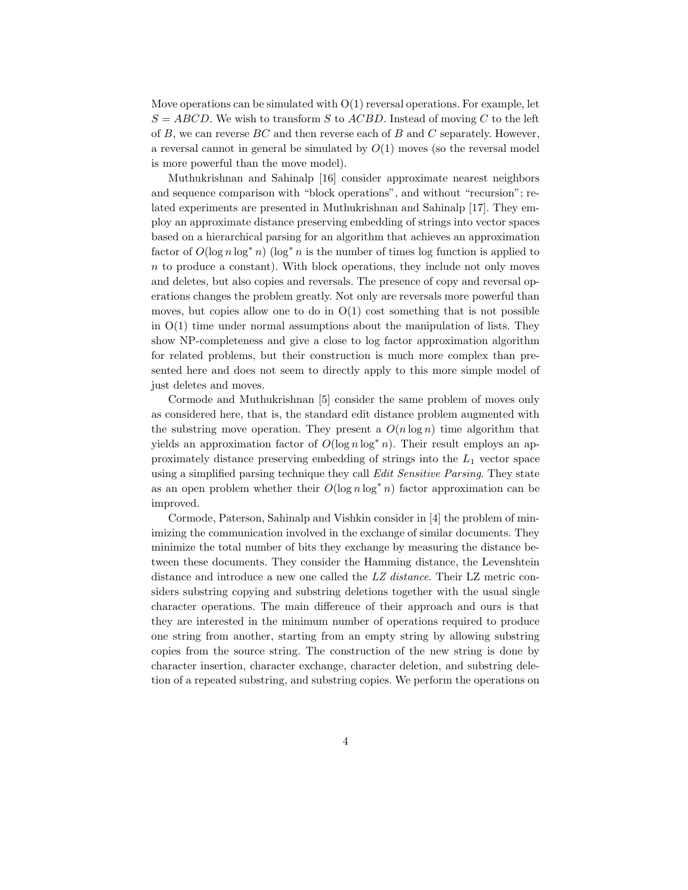Move operations can be simulated with  $O(1)$  reversal operations. For example, let  $S = ABCD$ . We wish to transform S to ACBD. Instead of moving C to the left of B, we can reverse BC and then reverse each of B and C separately. However, a reversal cannot in general be simulated by  $O(1)$  moves (so the reversal model is more powerful than the move model).

Muthukrishnan and Sahinalp [16] consider approximate nearest neighbors and sequence comparison with "block operations", and without "recursion"; related experiments are presented in Muthukrishnan and Sahinalp [17]. They employ an approximate distance preserving embedding of strings into vector spaces based on a hierarchical parsing for an algorithm that achieves an approximation factor of  $O(\log n \log^* n)$  (log<sup>\*</sup> n is the number of times log function is applied to n to produce a constant). With block operations, they include not only moves and deletes, but also copies and reversals. The presence of copy and reversal operations changes the problem greatly. Not only are reversals more powerful than moves, but copies allow one to do in  $O(1)$  cost something that is not possible in  $O(1)$  time under normal assumptions about the manipulation of lists. They show NP-completeness and give a close to log factor approximation algorithm for related problems, but their construction is much more complex than presented here and does not seem to directly apply to this more simple model of just deletes and moves.

Cormode and Muthukrishnan [5] consider the same problem of moves only as considered here, that is, the standard edit distance problem augmented with the substring move operation. They present a  $O(n \log n)$  time algorithm that yields an approximation factor of  $O(\log n \log^* n)$ . Their result employs an approximately distance preserving embedding of strings into the  $L_1$  vector space using a simplified parsing technique they call Edit Sensitive Parsing. They state as an open problem whether their  $O(\log n \log^* n)$  factor approximation can be improved.

Cormode, Paterson, Sahinalp and Vishkin consider in [4] the problem of minimizing the communication involved in the exchange of similar documents. They minimize the total number of bits they exchange by measuring the distance between these documents. They consider the Hamming distance, the Levenshtein distance and introduce a new one called the LZ distance. Their LZ metric considers substring copying and substring deletions together with the usual single character operations. The main difference of their approach and ours is that they are interested in the minimum number of operations required to produce one string from another, starting from an empty string by allowing substring copies from the source string. The construction of the new string is done by character insertion, character exchange, character deletion, and substring deletion of a repeated substring, and substring copies. We perform the operations on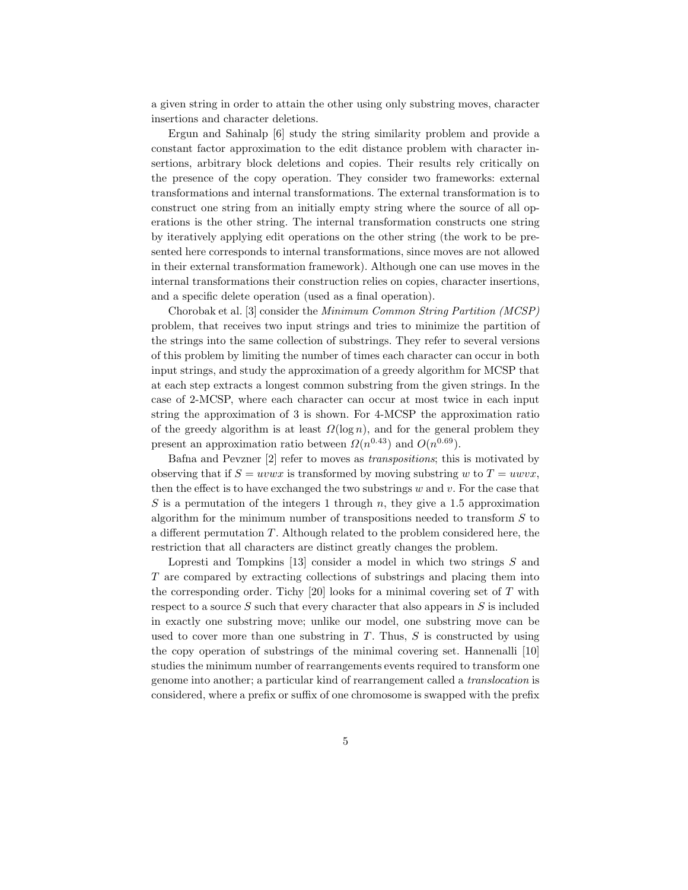a given string in order to attain the other using only substring moves, character insertions and character deletions.

Ergun and Sahinalp [6] study the string similarity problem and provide a constant factor approximation to the edit distance problem with character insertions, arbitrary block deletions and copies. Their results rely critically on the presence of the copy operation. They consider two frameworks: external transformations and internal transformations. The external transformation is to construct one string from an initially empty string where the source of all operations is the other string. The internal transformation constructs one string by iteratively applying edit operations on the other string (the work to be presented here corresponds to internal transformations, since moves are not allowed in their external transformation framework). Although one can use moves in the internal transformations their construction relies on copies, character insertions, and a specific delete operation (used as a final operation).

Chorobak et al. [3] consider the Minimum Common String Partition (MCSP) problem, that receives two input strings and tries to minimize the partition of the strings into the same collection of substrings. They refer to several versions of this problem by limiting the number of times each character can occur in both input strings, and study the approximation of a greedy algorithm for MCSP that at each step extracts a longest common substring from the given strings. In the case of 2-MCSP, where each character can occur at most twice in each input string the approximation of 3 is shown. For 4-MCSP the approximation ratio of the greedy algorithm is at least  $\Omega(\log n)$ , and for the general problem they present an approximation ratio between  $\Omega(n^{0.43})$  and  $O(n^{0.69})$ .

Bafna and Pevzner [2] refer to moves as transpositions; this is motivated by observing that if  $S = uvwx$  is transformed by moving substring w to  $T = uvwx$ , then the effect is to have exchanged the two substrings  $w$  and  $v$ . For the case that S is a permutation of the integers 1 through n, they give a 1.5 approximation algorithm for the minimum number of transpositions needed to transform  $S$  to a different permutation T. Although related to the problem considered here, the restriction that all characters are distinct greatly changes the problem.

Lopresti and Tompkins  $[13]$  consider a model in which two strings  $S$  and T are compared by extracting collections of substrings and placing them into the corresponding order. Tichy  $[20]$  looks for a minimal covering set of  $T$  with respect to a source  $S$  such that every character that also appears in  $S$  is included in exactly one substring move; unlike our model, one substring move can be used to cover more than one substring in  $T$ . Thus,  $S$  is constructed by using the copy operation of substrings of the minimal covering set. Hannenalli [10] studies the minimum number of rearrangements events required to transform one genome into another; a particular kind of rearrangement called a translocation is considered, where a prefix or suffix of one chromosome is swapped with the prefix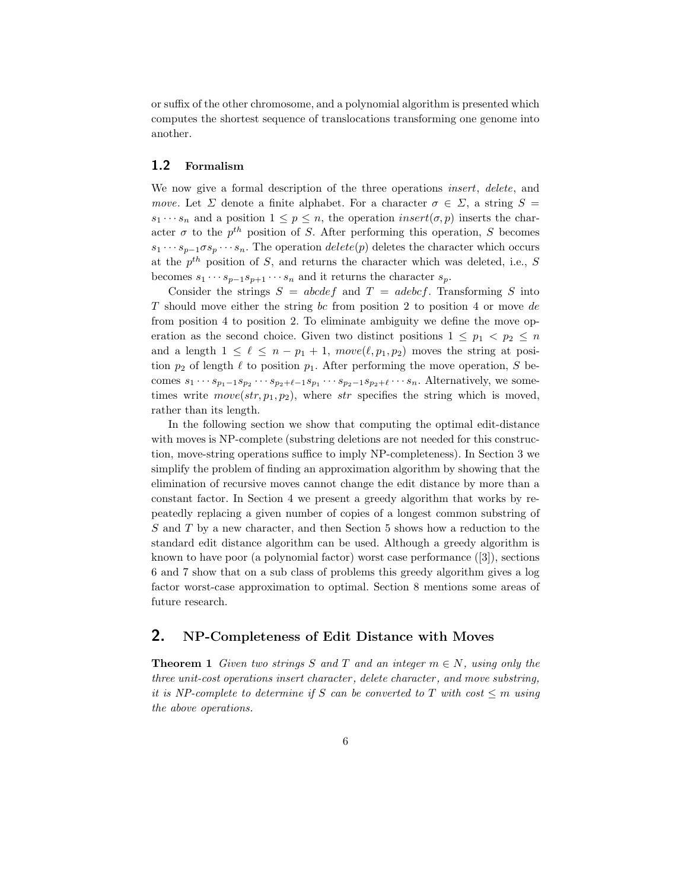or suffix of the other chromosome, and a polynomial algorithm is presented which computes the shortest sequence of translocations transforming one genome into another.

#### 1.2 Formalism

We now give a formal description of the three operations *insert*, delete, and move. Let  $\Sigma$  denote a finite alphabet. For a character  $\sigma \in \Sigma$ , a string  $S =$  $s_1 \cdots s_n$  and a position  $1 \leq p \leq n$ , the operation insert $(\sigma, p)$  inserts the character  $\sigma$  to the  $p^{th}$  position of S. After performing this operation, S becomes  $s_1 \cdots s_{p-1} \sigma s_p \cdots s_n$ . The operation  $delete(p)$  deletes the character which occurs at the  $p^{th}$  position of S, and returns the character which was deleted, i.e., S becomes  $s_1 \cdots s_{p-1} s_{p+1} \cdots s_n$  and it returns the character  $s_p$ .

Consider the strings  $S = abcdef$  and  $T = adebcf$ . Transforming S into T should move either the string bc from position 2 to position 4 or move de from position 4 to position 2. To eliminate ambiguity we define the move operation as the second choice. Given two distinct positions  $1 \leq p_1 < p_2 \leq n$ and a length  $1 \leq \ell \leq n - p_1 + 1$ ,  $move(\ell, p_1, p_2)$  moves the string at position  $p_2$  of length  $\ell$  to position  $p_1$ . After performing the move operation, S becomes  $s_1 \cdots s_{p_1-1}s_{p_2} \cdots s_{p_2+\ell-1}s_{p_1} \cdots s_{p_2-1}s_{p_2+\ell} \cdots s_n$ . Alternatively, we sometimes write  $move(str, p_1, p_2)$ , where str specifies the string which is moved, rather than its length.

In the following section we show that computing the optimal edit-distance with moves is NP-complete (substring deletions are not needed for this construction, move-string operations suffice to imply NP-completeness). In Section 3 we simplify the problem of finding an approximation algorithm by showing that the elimination of recursive moves cannot change the edit distance by more than a constant factor. In Section 4 we present a greedy algorithm that works by repeatedly replacing a given number of copies of a longest common substring of S and T by a new character, and then Section 5 shows how a reduction to the standard edit distance algorithm can be used. Although a greedy algorithm is known to have poor (a polynomial factor) worst case performance ([3]), sections 6 and 7 show that on a sub class of problems this greedy algorithm gives a log factor worst-case approximation to optimal. Section 8 mentions some areas of future research.

#### 2. NP-Completeness of Edit Distance with Moves

**Theorem 1** Given two strings S and T and an integer  $m \in N$ , using only the three unit-cost operations insert character , delete character , and move substring, it is NP-complete to determine if S can be converted to T with cost  $\leq m$  using the above operations.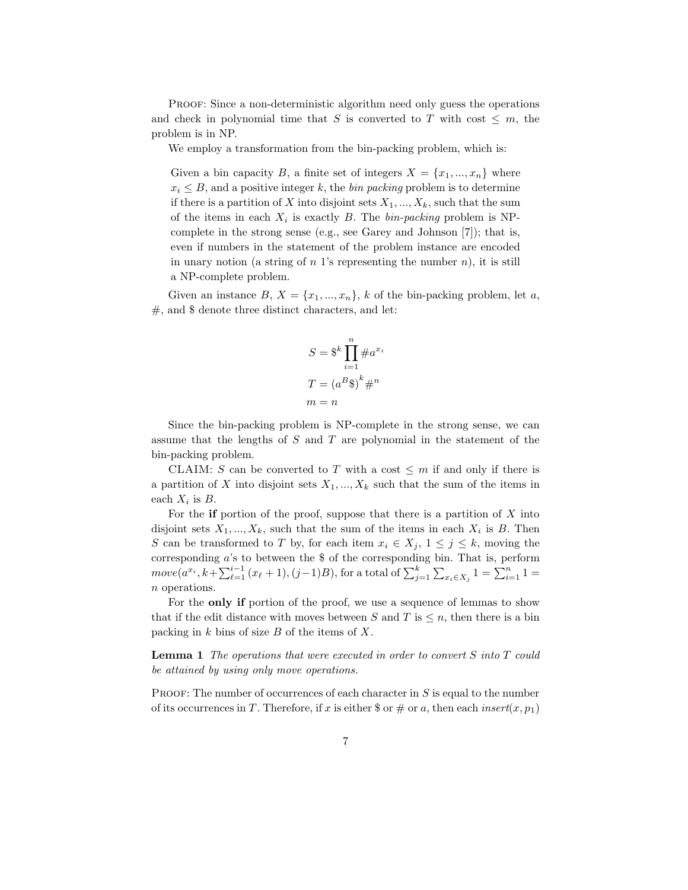PROOF: Since a non-deterministic algorithm need only guess the operations and check in polynomial time that S is converted to T with cost  $\leq m$ , the problem is in NP.

We employ a transformation from the bin-packing problem, which is:

Given a bin capacity B, a finite set of integers  $X = \{x_1, ..., x_n\}$  where  $x_i \leq B$ , and a positive integer k, the *bin packing* problem is to determine if there is a partition of X into disjoint sets  $X_1, ..., X_k$ , such that the sum of the items in each  $X_i$  is exactly B. The  $\text{bin-packing}$  problem is NPcomplete in the strong sense (e.g., see Garey and Johnson [7]); that is, even if numbers in the statement of the problem instance are encoded in unary notion (a string of  $n<sup>1</sup>$ 's representing the number  $n$ ), it is still a NP-complete problem.

Given an instance  $B, X = \{x_1, ..., x_n\}, k$  of the bin-packing problem, let a,  $#$ , and  $\$  denote three distinct characters, and let:

$$
S = \S^{k} \prod_{i=1}^{n} \#a^{x_i}
$$

$$
T = (a^B \S)^k \#^n
$$

$$
m = n
$$

Since the bin-packing problem is NP-complete in the strong sense, we can assume that the lengths of  $S$  and  $T$  are polynomial in the statement of the bin-packing problem.

CLAIM: S can be converted to T with a cost  $\leq m$  if and only if there is a partition of X into disjoint sets  $X_1, ..., X_k$  such that the sum of the items in each  $X_i$  is  $B$ .

For the if portion of the proof, suppose that there is a partition of  $X$  into disjoint sets  $X_1, ..., X_k$ , such that the sum of the items in each  $X_i$  is B. Then S can be transformed to T by, for each item  $x_i \in X_j$ ,  $1 \leq j \leq k$ , moving the corresponding  $a$ 's to between the \$ of the corresponding bin. That is, perform  $move(a^{x_i}, k + \sum_{\ell=1}^{i-1} (x_{\ell} + 1), (j-1)B)$ , for a total of  $\sum_{j=1}^{k} \sum_{x_i \in X_j} 1 = \sum_{i=1}^{n} 1 =$ n operations.

For the only if portion of the proof, we use a sequence of lemmas to show that if the edit distance with moves between S and T is  $\leq n$ , then there is a bin packing in  $k$  bins of size  $B$  of the items of  $X$ .

**Lemma 1** The operations that were executed in order to convert  $S$  into  $T$  could be attained by using only move operations.

**PROOF:** The number of occurrences of each character in  $S$  is equal to the number of its occurrences in T. Therefore, if x is either \$ or # or a, then each insert $(x, p_1)$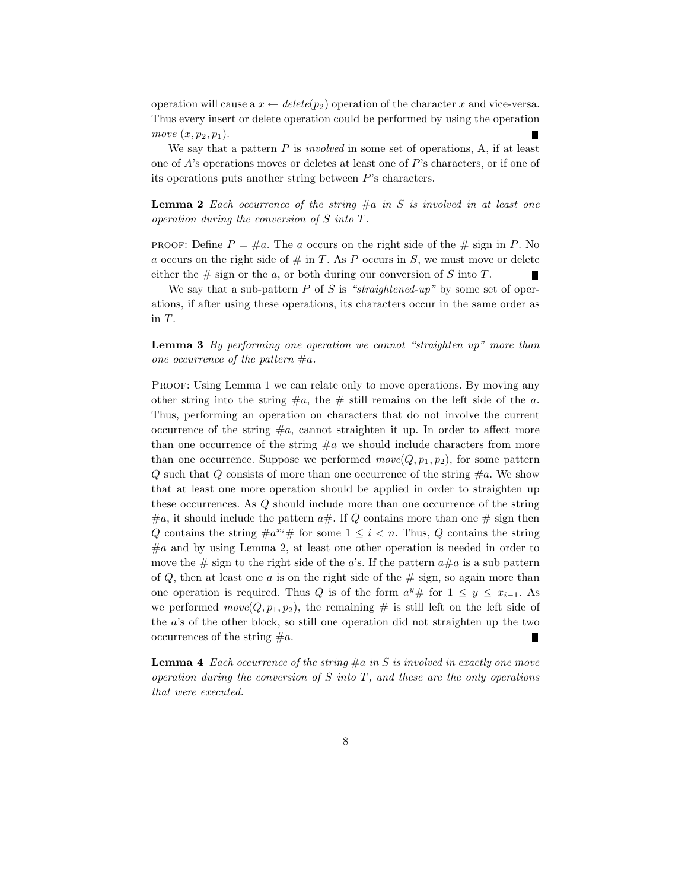operation will cause a  $x \leftarrow delete(p_2)$  operation of the character x and vice-versa. Thus every insert or delete operation could be performed by using the operation move  $(x, p_2, p_1)$ .

We say that a pattern  $P$  is *involved* in some set of operations,  $A$ , if at least one of A's operations moves or deletes at least one of P's characters, or if one of its operations puts another string between P's characters.

**Lemma 2** Each occurrence of the string  $\#a$  in S is involved in at least one operation during the conversion of S into T.

**PROOF:** Define  $P = \text{\#}a$ . The a occurs on the right side of the  $\text{\# sign in } P$ . No a occurs on the right side of  $\#$  in T. As P occurs in S, we must move or delete either the  $\#$  sign or the a, or both during our conversion of S into T.

We say that a sub-pattern  $P$  of  $S$  is "straightened-up" by some set of operations, if after using these operations, its characters occur in the same order as in T.

**Lemma 3** By performing one operation we cannot "straighten  $up$ " more than one occurrence of the pattern  $\#a$ .

PROOF: Using Lemma 1 we can relate only to move operations. By moving any other string into the string  $\#a$ , the  $\#$  still remains on the left side of the a. Thus, performing an operation on characters that do not involve the current occurrence of the string  $\#a$ , cannot straighten it up. In order to affect more than one occurrence of the string  $\#a$  we should include characters from more than one occurrence. Suppose we performed  $move(Q, p_1, p_2)$ , for some pattern Q such that Q consists of more than one occurrence of the string  $\#a$ . We show that at least one more operation should be applied in order to straighten up these occurrences. As Q should include more than one occurrence of the string  $\#a$ , it should include the pattern  $a\#$ . If Q contains more than one  $\#$  sign then Q contains the string  $\#a^{x_i}\#$  for some  $1 \leq i < n$ . Thus, Q contains the string  $\#a$  and by using Lemma 2, at least one other operation is needed in order to move the  $\#$  sign to the right side of the a's. If the pattern  $a\#a$  is a sub pattern of  $Q$ , then at least one  $a$  is on the right side of the  $\#$  sign, so again more than one operation is required. Thus Q is of the form  $a^y \#$  for  $1 \leq y \leq x_{i-1}$ . As we performed  $move(Q, p_1, p_2)$ , the remaining # is still left on the left side of the a's of the other block, so still one operation did not straighten up the two occurrences of the string  $\#a$ . П

**Lemma 4** Each occurrence of the string  $\#a$  in S is involved in exactly one move operation during the conversion of  $S$  into  $T$ , and these are the only operations that were executed.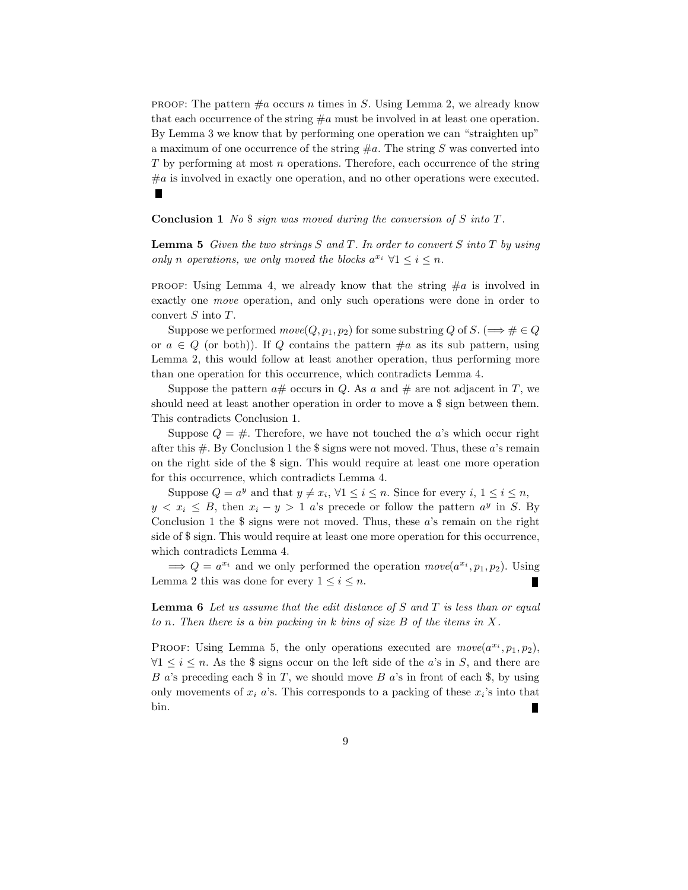**PROOF:** The pattern  $\#a$  occurs n times in S. Using Lemma 2, we already know that each occurrence of the string  $\#a$  must be involved in at least one operation. By Lemma 3 we know that by performing one operation we can "straighten up" a maximum of one occurrence of the string  $\#a$ . The string S was converted into T by performing at most n operations. Therefore, each occurrence of the string  $#a$  is involved in exactly one operation, and no other operations were executed.

Conclusion 1 No \$ sign was moved during the conversion of S into T.

**Lemma 5** Given the two strings S and T. In order to convert S into T by using only n operations, we only moved the blocks  $a^{x_i} \forall 1 \leq i \leq n$ .

**PROOF:** Using Lemma 4, we already know that the string  $\#a$  is involved in exactly one move operation, and only such operations were done in order to convert S into T.

Suppose we performed  $move(Q, p_1, p_2)$  for some substring Q of S. ( $\Longrightarrow \# \in Q$ or  $a \in Q$  (or both)). If Q contains the pattern  $\#a$  as its sub pattern, using Lemma 2, this would follow at least another operation, thus performing more than one operation for this occurrence, which contradicts Lemma 4.

Suppose the pattern  $a\#$  occurs in Q. As a and  $\#$  are not adjacent in T, we should need at least another operation in order to move a \$ sign between them. This contradicts Conclusion 1.

Suppose  $Q = #$ . Therefore, we have not touched the a's which occur right after this  $\#$ . By Conclusion 1 the \$ signs were not moved. Thus, these a's remain on the right side of the \$ sign. This would require at least one more operation for this occurrence, which contradicts Lemma 4.

Suppose  $Q = a^y$  and that  $y \neq x_i$ ,  $\forall 1 \leq i \leq n$ . Since for every  $i, 1 \leq i \leq n$ ,  $y < x_i \leq B$ , then  $x_i - y > 1$  a's precede or follow the pattern  $a^y$  in S. By Conclusion 1 the  $\frac{1}{3}$  signs were not moved. Thus, these a's remain on the right side of \$ sign. This would require at least one more operation for this occurrence, which contradicts Lemma 4.

 $\implies Q = a^{x_i}$  and we only performed the operation  $move(a^{x_i}, p_1, p_2)$ . Using Lemma 2 this was done for every  $1 \leq i \leq n$ .

**Lemma 6** Let us assume that the edit distance of S and T is less than or equal to n. Then there is a bin packing in  $k$  bins of size  $B$  of the items in  $X$ .

PROOF: Using Lemma 5, the only operations executed are  $move(a^{x_i}, p_1, p_2)$ ,  $\forall 1 \leq i \leq n$ . As the \$ signs occur on the left side of the *a*'s in *S*, and there are B a's preceding each  $\text{\$}$  in T, we should move B a's in front of each  $\text{\$}$ , by using only movements of  $x_i$  a's. This corresponds to a packing of these  $x_i$ 's into that bin. П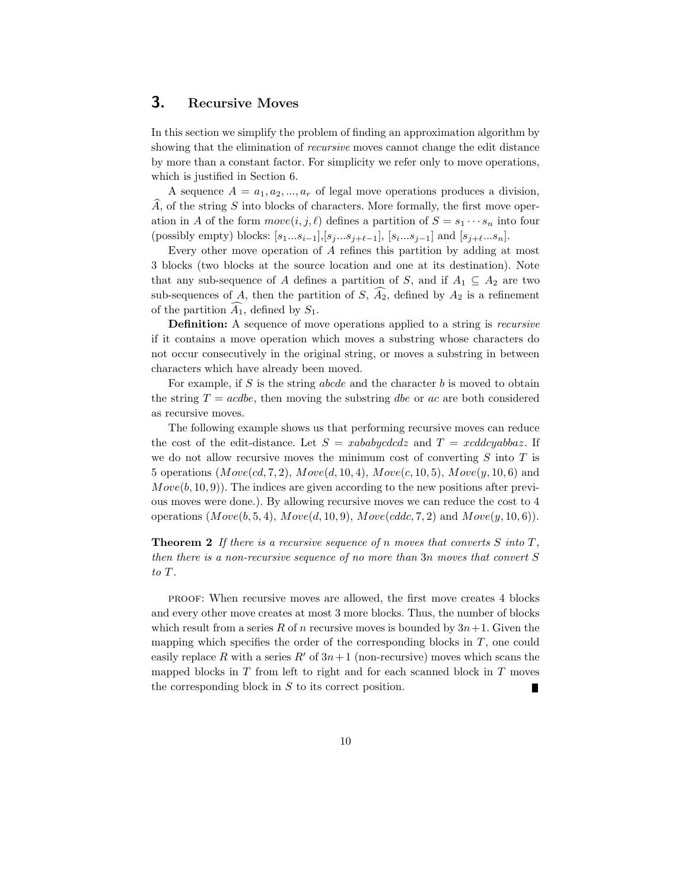## 3. Recursive Moves

In this section we simplify the problem of finding an approximation algorithm by showing that the elimination of *recursive* moves cannot change the edit distance by more than a constant factor. For simplicity we refer only to move operations, which is justified in Section 6.

A sequence  $A = a_1, a_2, ..., a_r$  of legal move operations produces a division,  $\ddot{A}$ , of the string  $S$  into blocks of characters. More formally, the first move operation in A of the form  $move(i, j, \ell)$  defines a partition of  $S = s_1 \cdots s_n$  into four (possibly empty) blocks:  $[s_1...s_{i-1}],[s_j...s_{j+\ell-1}], [s_i...s_{j-1}]$  and  $[s_{j+\ell}...s_n].$ 

Every other move operation of A refines this partition by adding at most 3 blocks (two blocks at the source location and one at its destination). Note that any sub-sequence of A defines a partition of S, and if  $A_1 \subseteq A_2$  are two sub-sequences of A, then the partition of S,  $A_2$ , defined by  $A_2$  is a refinement of the partition  $A_1$ , defined by  $S_1$ .

Definition: A sequence of move operations applied to a string is recursive if it contains a move operation which moves a substring whose characters do not occur consecutively in the original string, or moves a substring in between characters which have already been moved.

For example, if  $S$  is the string *abcde* and the character  $b$  is moved to obtain the string  $T = acde$ , then moving the substring dbe or ac are both considered as recursive moves.

The following example shows us that performing recursive moves can reduce the cost of the edit-distance. Let  $S = xababycdcdz$  and  $T = xcddcyabbaz$ . If we do not allow recursive moves the minimum cost of converting  $S$  into  $T$  is 5 operations  $(Move(cd, 7, 2), Move(d, 10, 4), Move(c, 10, 5), Move(y, 10, 6)$  and  $Move(b, 10, 9)$ . The indices are given according to the new positions after previous moves were done.). By allowing recursive moves we can reduce the cost to 4 operations  $(Move(b, 5, 4), Move(d, 10, 9), Move(cddc, 7, 2)$  and  $Move(y, 10, 6)$ .

**Theorem 2** If there is a recursive sequence of n moves that converts S into  $T$ , then there is a non-recursive sequence of no more than 3n moves that convert S to T.

proof: When recursive moves are allowed, the first move creates 4 blocks and every other move creates at most 3 more blocks. Thus, the number of blocks which result from a series R of n recursive moves is bounded by  $3n+1$ . Given the mapping which specifies the order of the corresponding blocks in  $T$ , one could easily replace R with a series R' of  $3n+1$  (non-recursive) moves which scans the mapped blocks in  $T$  from left to right and for each scanned block in  $T$  moves the corresponding block in  $S$  to its correct position.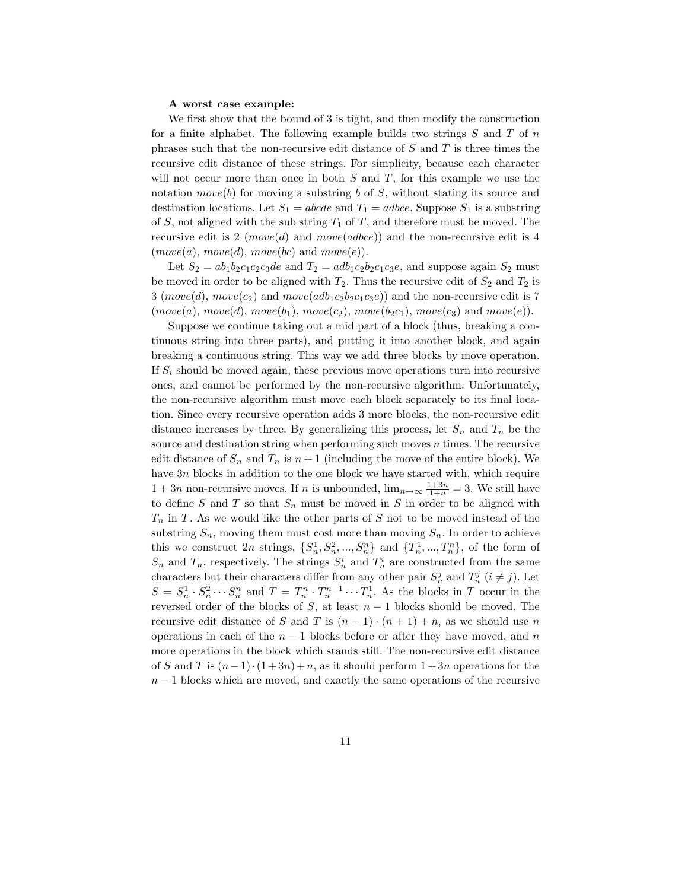#### A worst case example:

We first show that the bound of 3 is tight, and then modify the construction for a finite alphabet. The following example builds two strings  $S$  and  $T$  of  $n$ phrases such that the non-recursive edit distance of  $S$  and  $T$  is three times the recursive edit distance of these strings. For simplicity, because each character will not occur more than once in both  $S$  and  $T$ , for this example we use the notation move(b) for moving a substring b of S, without stating its source and destination locations. Let  $S_1 = abcde$  and  $T_1 = adbce$ . Suppose  $S_1$  is a substring of S, not aligned with the sub string  $T_1$  of T, and therefore must be moved. The recursive edit is 2 (move(d) and move(adbce)) and the non-recursive edit is 4  $(move(a), move(d), move(bc) \text{ and } move(e)).$ 

Let  $S_2 = ab_1b_2c_1c_2c_3de$  and  $T_2 = adb_1c_2b_2c_1c_3e$ , and suppose again  $S_2$  must be moved in order to be aligned with  $T_2$ . Thus the recursive edit of  $S_2$  and  $T_2$  is 3 (move(d), move(c<sub>2</sub>) and move(adb<sub>1</sub>c<sub>2</sub>b<sub>2</sub>c<sub>1</sub>c<sub>3</sub>e)) and the non-recursive edit is 7  $(move(a), move(d), move(b_1), move(c_2), move(b_2c_1), move(c_3)$  and  $move(e)).$ 

Suppose we continue taking out a mid part of a block (thus, breaking a continuous string into three parts), and putting it into another block, and again breaking a continuous string. This way we add three blocks by move operation. If  $S_i$  should be moved again, these previous move operations turn into recursive ones, and cannot be performed by the non-recursive algorithm. Unfortunately, the non-recursive algorithm must move each block separately to its final location. Since every recursive operation adds 3 more blocks, the non-recursive edit distance increases by three. By generalizing this process, let  $S_n$  and  $T_n$  be the source and destination string when performing such moves  $n$  times. The recursive edit distance of  $S_n$  and  $T_n$  is  $n+1$  (including the move of the entire block). We have 3n blocks in addition to the one block we have started with, which require  $1 + 3n$  non-recursive moves. If n is unbounded,  $\lim_{n \to \infty} \frac{1+3n}{1+n} = 3$ . We still have to define  $S$  and  $T$  so that  $S_n$  must be moved in  $S$  in order to be aligned with  $T_n$  in T. As we would like the other parts of S not to be moved instead of the substring  $S_n$ , moving them must cost more than moving  $S_n$ . In order to achieve this we construct 2n strings,  $\{S_n^1, S_n^2, ..., S_n^n\}$  and  $\{T_n^1, ..., T_n^n\}$ , of the form of  $S_n$  and  $T_n$ , respectively. The strings  $S_n^i$  and  $T_n^i$  are constructed from the same characters but their characters differ from any other pair  $S_n^j$  and  $T_n^j$   $(i \neq j)$ . Let  $S = S_n^1 \cdot S_n^2 \cdots S_n^n$  and  $T = T_n^n \cdot T_n^{n-1} \cdots T_n^1$ . As the blocks in T occur in the reversed order of the blocks of S, at least  $n-1$  blocks should be moved. The recursive edit distance of S and T is  $(n-1) \cdot (n+1) + n$ , as we should use n operations in each of the  $n - 1$  blocks before or after they have moved, and n more operations in the block which stands still. The non-recursive edit distance of S and T is  $(n-1) \cdot (1+3n)+n$ , as it should perform  $1+3n$  operations for the  $n-1$  blocks which are moved, and exactly the same operations of the recursive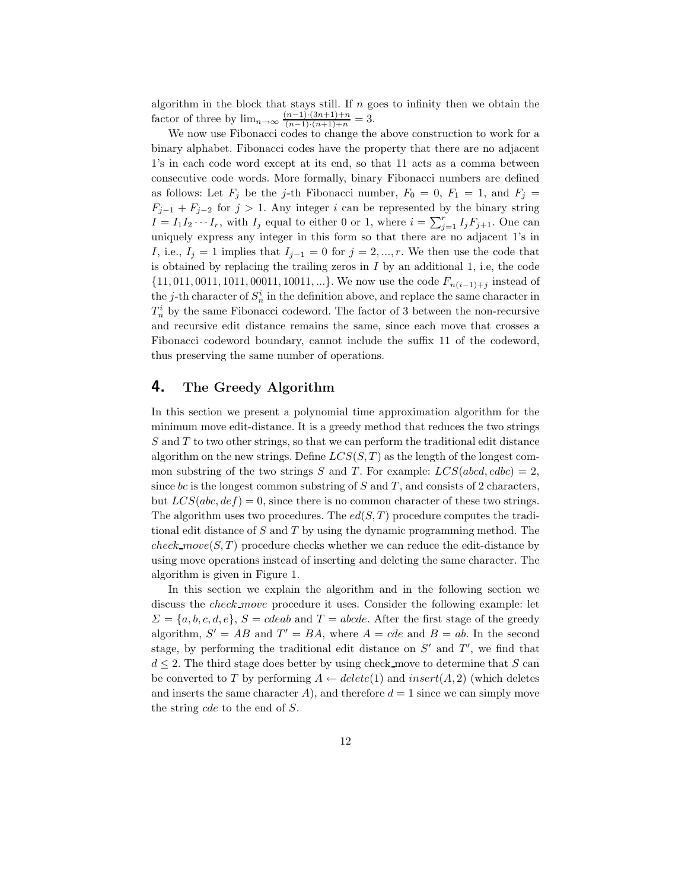algorithm in the block that stays still. If  $n$  goes to infinity then we obtain the factor of three by  $\lim_{n \to \infty} \frac{(n-1) \cdot (3n+1)+n}{(n-1) \cdot (n+1)+n} = 3.$ 

We now use Fibonacci codes to change the above construction to work for a binary alphabet. Fibonacci codes have the property that there are no adjacent 1's in each code word except at its end, so that 11 acts as a comma between consecutive code words. More formally, binary Fibonacci numbers are defined as follows: Let  $F_j$  be the j-th Fibonacci number,  $F_0 = 0$ ,  $F_1 = 1$ , and  $F_j =$  $F_{j-1} + F_{j-2}$  for  $j > 1$ . Any integer i can be represented by the binary string  $I = I_1 I_2 \cdots I_r$ , with  $I_j$  equal to either 0 or 1, where  $i = \sum_{j=1}^r I_j F_{j+1}$ . One can uniquely express any integer in this form so that there are no adjacent 1's in I, i.e.,  $I_j = 1$  implies that  $I_{j-1} = 0$  for  $j = 2, ..., r$ . We then use the code that is obtained by replacing the trailing zeros in  $I$  by an additional 1, i.e, the code  $\{11, 011, 0011, 1011, 00011, 10011, ...\}$ . We now use the code  $F_{n(i-1)+j}$  instead of the *j*-th character of  $S_n^i$  in the definition above, and replace the same character in  $T_n^i$  by the same Fibonacci codeword. The factor of 3 between the non-recursive and recursive edit distance remains the same, since each move that crosses a Fibonacci codeword boundary, cannot include the suffix 11 of the codeword, thus preserving the same number of operations.

#### 4. The Greedy Algorithm

In this section we present a polynomial time approximation algorithm for the minimum move edit-distance. It is a greedy method that reduces the two strings S and T to two other strings, so that we can perform the traditional edit distance algorithm on the new strings. Define  $LCS(S, T)$  as the length of the longest common substring of the two strings S and T. For example:  $LCS(abcd, edbc) = 2$ , since bc is the longest common substring of S and T, and consists of 2 characters, but  $LCS(abc,def) = 0$ , since there is no common character of these two strings. The algorithm uses two procedures. The  $ed(S, T)$  procedure computes the traditional edit distance of S and T by using the dynamic programming method. The check move(S, T) procedure checks whether we can reduce the edit-distance by using move operations instead of inserting and deleting the same character. The algorithm is given in Figure 1.

In this section we explain the algorithm and in the following section we discuss the check move procedure it uses. Consider the following example: let  $\Sigma = \{a, b, c, d, e\}, S = cdeab$  and  $T = abcde$ . After the first stage of the greedy algorithm,  $S' = AB$  and  $T' = BA$ , where  $A = cde$  and  $B = ab$ . In the second stage, by performing the traditional edit distance on  $S'$  and  $T'$ , we find that  $d \leq 2$ . The third stage does better by using check move to determine that S can be converted to T by performing  $A \leftarrow delete(1)$  and  $insert(A, 2)$  (which deletes and inserts the same character A), and therefore  $d = 1$  since we can simply move the string cde to the end of S.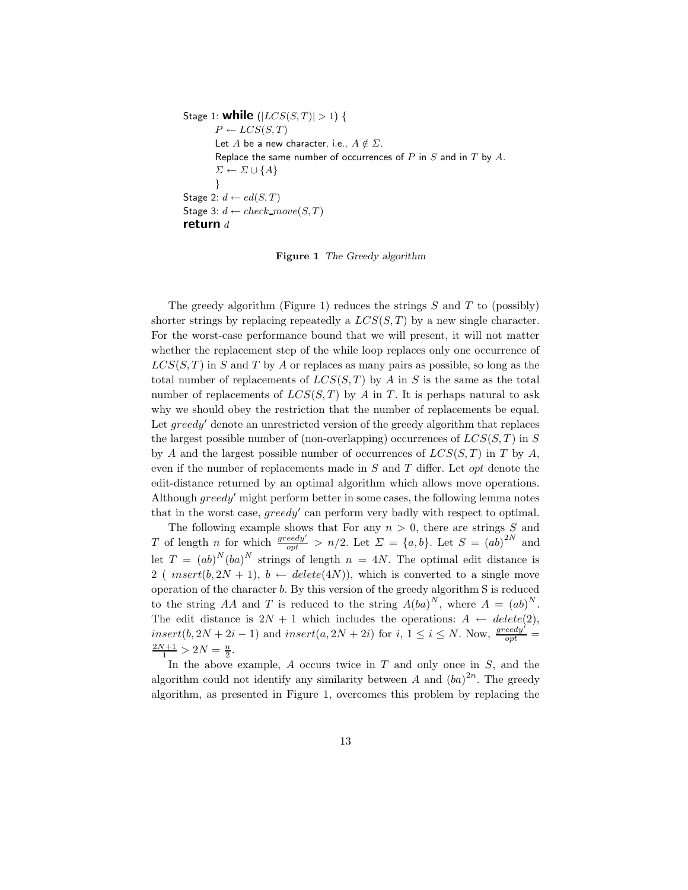```
Stage 1: while (|LCS(S,T)| > 1) {
        P \leftarrow LCS(S,T)Let A be a new character, i.e., A \notin \Sigma.
        Replace the same number of occurrences of P in S and in T by A.
        \Sigma \leftarrow \Sigma \cup \{A\}}
Stage 2: d \leftarrow ed(S,T)Stage 3: d \leftarrow check\_move(S, T)return d
```
Figure 1 The Greedy algorithm

The greedy algorithm (Figure 1) reduces the strings  $S$  and  $T$  to (possibly) shorter strings by replacing repeatedly a  $LCS(S,T)$  by a new single character. For the worst-case performance bound that we will present, it will not matter whether the replacement step of the while loop replaces only one occurrence of  $LCS(S,T)$  in S and T by A or replaces as many pairs as possible, so long as the total number of replacements of  $LCS(S,T)$  by A in S is the same as the total number of replacements of  $LCS(S,T)$  by A in T. It is perhaps natural to ask why we should obey the restriction that the number of replacements be equal. Let  $greedy'$  denote an unrestricted version of the greedy algorithm that replaces the largest possible number of (non-overlapping) occurrences of  $LCS(S,T)$  in S by A and the largest possible number of occurrences of  $LCS(S,T)$  in T by A, even if the number of replacements made in  $S$  and  $T$  differ. Let *opt* denote the edit-distance returned by an optimal algorithm which allows move operations. Although  $greedy'$  might perform better in some cases, the following lemma notes that in the worst case,  $greedy'$  can perform very badly with respect to optimal.

The following example shows that For any  $n > 0$ , there are strings S and T of length n for which  $\frac{greedy'}{opt} > n/2$ . Let  $\Sigma = \{a, b\}$ . Let  $S = (ab)^{2N}$  and let  $T = (ab)^N (ba)^N$  strings of length  $n = 4N$ . The optimal edit distance is 2 (  $insert(b, 2N + 1), b \leftarrow delete(4N)$ ), which is converted to a single move operation of the character b. By this version of the greedy algorithm S is reduced to the string AA and T is reduced to the string  $A(ba)^N$ , where  $A = (ab)^N$ . The edit distance is  $2N + 1$  which includes the operations:  $A \leftarrow delete(2)$ ,  $insert(b, 2N + 2i - 1)$  and  $insert(a, 2N + 2i)$  for  $i, 1 \le i \le N$ . Now,  $\frac{greedy}{opt}$  $\frac{2N+1}{1} > 2N = \frac{n}{2}.$ 

In the above example,  $A$  occurs twice in  $T$  and only once in  $S$ , and the algorithm could not identify any similarity between A and  $(ba)^{2n}$ . The greedy algorithm, as presented in Figure 1, overcomes this problem by replacing the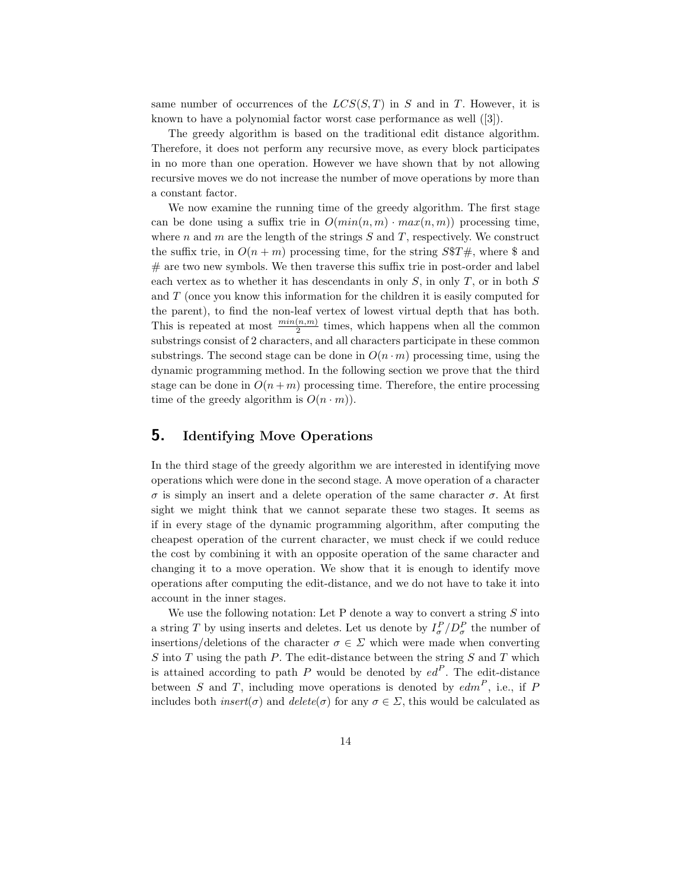same number of occurrences of the  $LCS(S,T)$  in S and in T. However, it is known to have a polynomial factor worst case performance as well ([3]).

The greedy algorithm is based on the traditional edit distance algorithm. Therefore, it does not perform any recursive move, as every block participates in no more than one operation. However we have shown that by not allowing recursive moves we do not increase the number of move operations by more than a constant factor.

We now examine the running time of the greedy algorithm. The first stage can be done using a suffix trie in  $O(min(n, m) \cdot max(n, m))$  processing time, where n and m are the length of the strings  $S$  and  $T$ , respectively. We construct the suffix trie, in  $O(n+m)$  processing time, for the string  $S\$ T#, where \$ and  $#$  are two new symbols. We then traverse this suffix trie in post-order and label each vertex as to whether it has descendants in only  $S$ , in only  $T$ , or in both  $S$ and T (once you know this information for the children it is easily computed for the parent), to find the non-leaf vertex of lowest virtual depth that has both. This is repeated at most  $\frac{min(n,m)}{2}$  times, which happens when all the common substrings consist of 2 characters, and all characters participate in these common substrings. The second stage can be done in  $O(n \cdot m)$  processing time, using the dynamic programming method. In the following section we prove that the third stage can be done in  $O(n+m)$  processing time. Therefore, the entire processing time of the greedy algorithm is  $O(n \cdot m)$ .

## 5. Identifying Move Operations

In the third stage of the greedy algorithm we are interested in identifying move operations which were done in the second stage. A move operation of a character σ is simply an insert and a delete operation of the same character σ. At first sight we might think that we cannot separate these two stages. It seems as if in every stage of the dynamic programming algorithm, after computing the cheapest operation of the current character, we must check if we could reduce the cost by combining it with an opposite operation of the same character and changing it to a move operation. We show that it is enough to identify move operations after computing the edit-distance, and we do not have to take it into account in the inner stages.

We use the following notation: Let P denote a way to convert a string  $S$  into a string T by using inserts and deletes. Let us denote by  $I_{\sigma}^P/D_{\sigma}^P$  the number of insertions/deletions of the character  $\sigma \in \Sigma$  which were made when converting S into T using the path P. The edit-distance between the string  $S$  and  $T$  which is attained according to path P would be denoted by  $ed^P$ . The edit-distance between S and T, including move operations is denoted by  $edm^P$ , i.e., if F includes both *insert*( $\sigma$ ) and *delete*( $\sigma$ ) for any  $\sigma \in \Sigma$ , this would be calculated as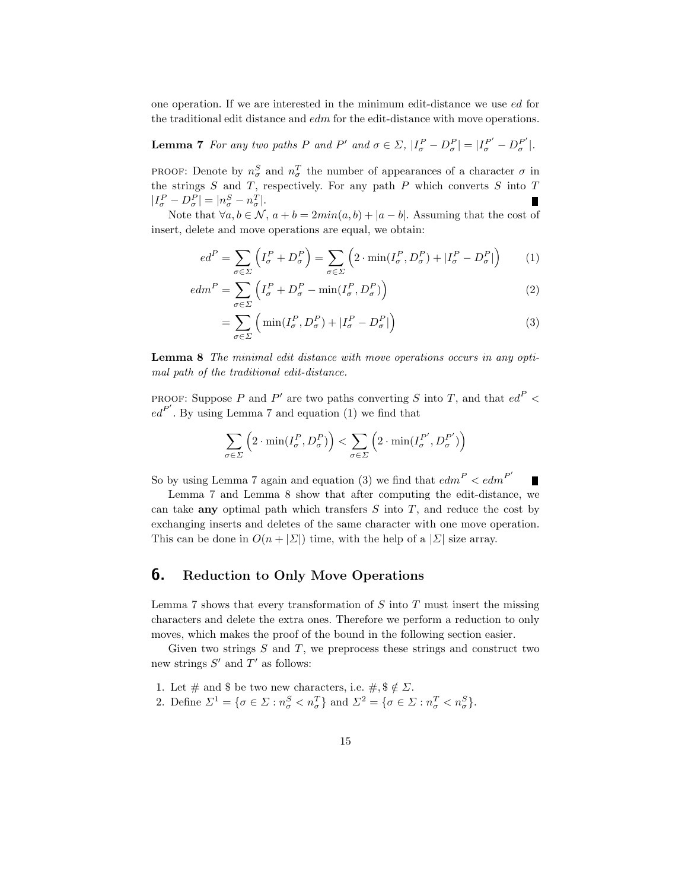one operation. If we are interested in the minimum edit-distance we use ed for the traditional edit distance and edm for the edit-distance with move operations.

**Lemma 7** For any two paths P and P' and  $\sigma \in \Sigma$ ,  $|I_{\sigma}^{P} - D_{\sigma}^{P}| = |I_{\sigma}^{P'} - D_{\sigma}^{P'}|$ .

PROOF: Denote by  $n_{\sigma}^{S}$  and  $n_{\sigma}^{T}$  the number of appearances of a character  $\sigma$  in the strings  $S$  and  $T$ , respectively. For any path  $P$  which converts  $S$  into  $T$  $|I_{\sigma}^P - D_{\sigma}^P| = |n_{\sigma}^S - n_{\sigma}^T|.$ 

Note that  $\forall a, b \in \mathcal{N}, a+b = 2min(a, b) + |a-b|$ . Assuming that the cost of insert, delete and move operations are equal, we obtain:

$$
ed^{P} = \sum_{\sigma \in \Sigma} \left( I_{\sigma}^{P} + D_{\sigma}^{P} \right) = \sum_{\sigma \in \Sigma} \left( 2 \cdot \min(I_{\sigma}^{P}, D_{\sigma}^{P}) + |I_{\sigma}^{P} - D_{\sigma}^{P}| \right) \tag{1}
$$

$$
edmP = \sum_{\sigma \in \Sigma} \left( I_{\sigma}^P + D_{\sigma}^P - \min(I_{\sigma}^P, D_{\sigma}^P) \right)
$$
 (2)

$$
= \sum_{\sigma \in \Sigma} \left( \min(I_{\sigma}^P, D_{\sigma}^P) + |I_{\sigma}^P - D_{\sigma}^P| \right) \tag{3}
$$

Lemma 8 The minimal edit distance with move operations occurs in any optimal path of the traditional edit-distance.

PROOF: Suppose P and P' are two paths converting S into T, and that  $ed^P$  <  $ed^{P'}$ . By using Lemma 7 and equation (1) we find that

$$
\sum_{\sigma \in \varSigma} \left(2 \cdot \min(I^P_\sigma, D^P_\sigma) \right) < \sum_{\sigma \in \varSigma} \left(2 \cdot \min(I^{P'}_\sigma, D^{P'}_\sigma) \right)
$$

So by using Lemma 7 again and equation (3) we find that  $edm^P < edm^{P'}$ 

Lemma 7 and Lemma 8 show that after computing the edit-distance, we can take **any** optimal path which transfers  $S$  into  $T$ , and reduce the cost by exchanging inserts and deletes of the same character with one move operation. This can be done in  $O(n + |\Sigma|)$  time, with the help of a  $|\Sigma|$  size array.

## 6. Reduction to Only Move Operations

Lemma 7 shows that every transformation of  $S$  into  $T$  must insert the missing characters and delete the extra ones. Therefore we perform a reduction to only moves, which makes the proof of the bound in the following section easier.

Given two strings  $S$  and  $T$ , we preprocess these strings and construct two new strings  $S'$  and  $T'$  as follows:

- 1. Let  $\#$  and \$ be two new characters, i.e.  $\#$ ,  $\$\notin \Sigma$ .
- 2. Define  $\Sigma^1 = \{ \sigma \in \Sigma : n_{\sigma}^S < n_{\sigma}^T \}$  and  $\Sigma^2 = \{ \sigma \in \Sigma : n_{\sigma}^T < n_{\sigma}^S \}.$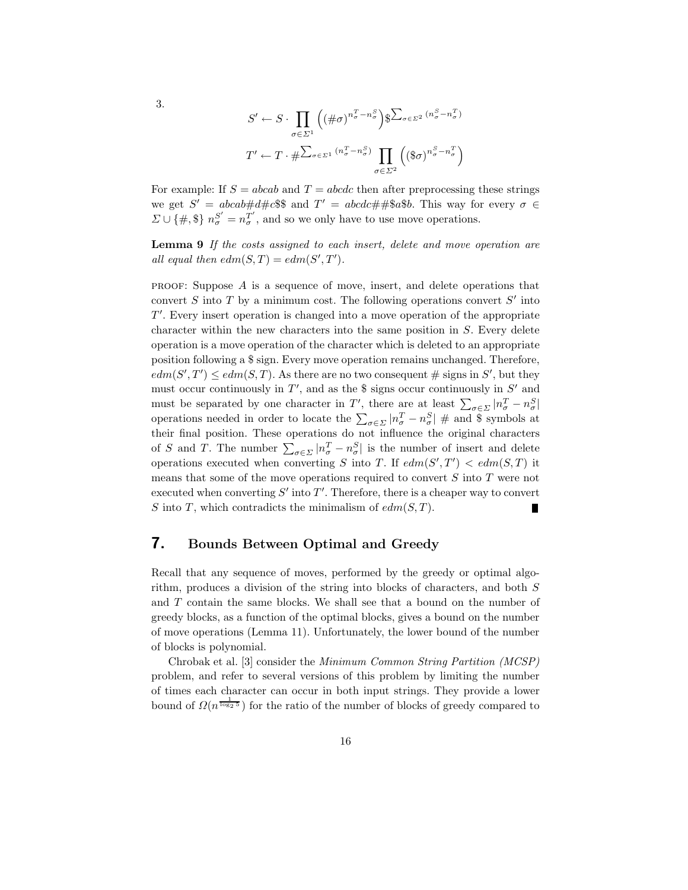$$
S' \leftarrow S \cdot \prod_{\sigma \in \Sigma^1} \left( \left( \# \sigma \right)^{n_{\sigma}^T - n_{\sigma}^S} \right) \oint \sum_{\sigma \in \Sigma^2} \left( n_{\sigma}^S - n_{\sigma}^T \right)
$$

$$
T' \leftarrow T \cdot \#\sum_{\sigma \in \Sigma^1} \left( n_{\sigma}^T - n_{\sigma}^S \right) \prod_{\sigma \in \Sigma^2} \left( \left( \oint \sigma \right)^{n_{\sigma}^S - n_{\sigma}^T} \right)
$$

For example: If  $S = abcab$  and  $T = abcdc$  then after preprocessing these strings we get  $S' = abcab \# d \# c$ \$\$ and  $T' = abcdc \# \# $a $b$ . This way for every  $\sigma \in$  $\Sigma \cup \{\#, \$\}$   $n_{\sigma}^{S'} = n_{\sigma}^{T'}$ , and so we only have to use move operations.

Lemma 9 If the costs assigned to each insert, delete and move operation are all equal then  $edm(S,T) = edm(S',T').$ 

**PROOF:** Suppose  $\vec{A}$  is a sequence of move, insert, and delete operations that convert  $S$  into  $T$  by a minimum cost. The following operations convert  $S'$  into  $T'$ . Every insert operation is changed into a move operation of the appropriate character within the new characters into the same position in S. Every delete operation is a move operation of the character which is deleted to an appropriate position following a \$ sign. Every move operation remains unchanged. Therefore,  $edm(S',T') \leq edm(S,T)$ . As there are no two consequent # signs in S', but they must occur continuously in  $T'$ , and as the \$ signs occur continuously in  $S'$  and must be separated by one character in T', there are at least  $\sum_{\sigma \in \Sigma} |n_{\sigma}^T - n_{\sigma}^S|$ operations needed in order to locate the  $\sum_{\sigma \in \Sigma} |n_{\sigma}^T - n_{\sigma}^S|$  # and \$ symbols at their final position. These operations do not influence the original characters of S and T. The number  $\sum_{\sigma \in \Sigma} |n_{\sigma}^T - n_{\sigma}^S|$  is the number of insert and delete operations executed when converting S into T. If  $edm(S',T') < edm(S,T)$  it means that some of the move operations required to convert S into T were not executed when converting  $S'$  into  $T'$ . Therefore, there is a cheaper way to convert S into T, which contradicts the minimalism of  $edm(S,T)$ .

#### 7. Bounds Between Optimal and Greedy

Recall that any sequence of moves, performed by the greedy or optimal algorithm, produces a division of the string into blocks of characters, and both S and T contain the same blocks. We shall see that a bound on the number of greedy blocks, as a function of the optimal blocks, gives a bound on the number of move operations (Lemma 11). Unfortunately, the lower bound of the number of blocks is polynomial.

Chrobak et al. [3] consider the Minimum Common String Partition (MCSP) problem, and refer to several versions of this problem by limiting the number of times each character can occur in both input strings. They provide a lower bound of  $\Omega(n^{\frac{1}{\log_2 5}})$  for the ratio of the number of blocks of greedy compared to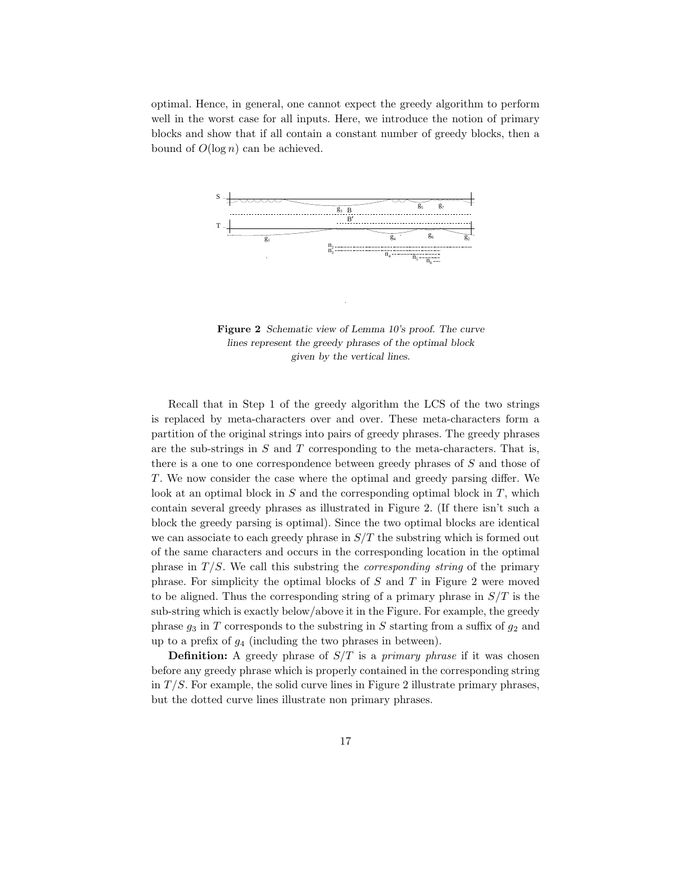optimal. Hence, in general, one cannot expect the greedy algorithm to perform well in the worst case for all inputs. Here, we introduce the notion of primary blocks and show that if all contain a constant number of greedy blocks, then a bound of  $O(\log n)$  can be achieved.



Figure 2 Schematic view of Lemma 10's proof. The curve lines represent the greedy phrases of the optimal block given by the vertical lines.

Recall that in Step 1 of the greedy algorithm the LCS of the two strings is replaced by meta-characters over and over. These meta-characters form a partition of the original strings into pairs of greedy phrases. The greedy phrases are the sub-strings in  $S$  and  $T$  corresponding to the meta-characters. That is, there is a one to one correspondence between greedy phrases of S and those of T. We now consider the case where the optimal and greedy parsing differ. We look at an optimal block in  $S$  and the corresponding optimal block in  $T$ , which contain several greedy phrases as illustrated in Figure 2. (If there isn't such a block the greedy parsing is optimal). Since the two optimal blocks are identical we can associate to each greedy phrase in  $S/T$  the substring which is formed out of the same characters and occurs in the corresponding location in the optimal phrase in  $T/S$ . We call this substring the *corresponding string* of the primary phrase. For simplicity the optimal blocks of  $S$  and  $T$  in Figure 2 were moved to be aligned. Thus the corresponding string of a primary phrase in  $S/T$  is the sub-string which is exactly below/above it in the Figure. For example, the greedy phrase  $g_3$  in T corresponds to the substring in S starting from a suffix of  $g_2$  and up to a prefix of  $g_4$  (including the two phrases in between).

**Definition:** A greedy phrase of  $S/T$  is a *primary phrase* if it was chosen before any greedy phrase which is properly contained in the corresponding string in  $T/S$ . For example, the solid curve lines in Figure 2 illustrate primary phrases, but the dotted curve lines illustrate non primary phrases.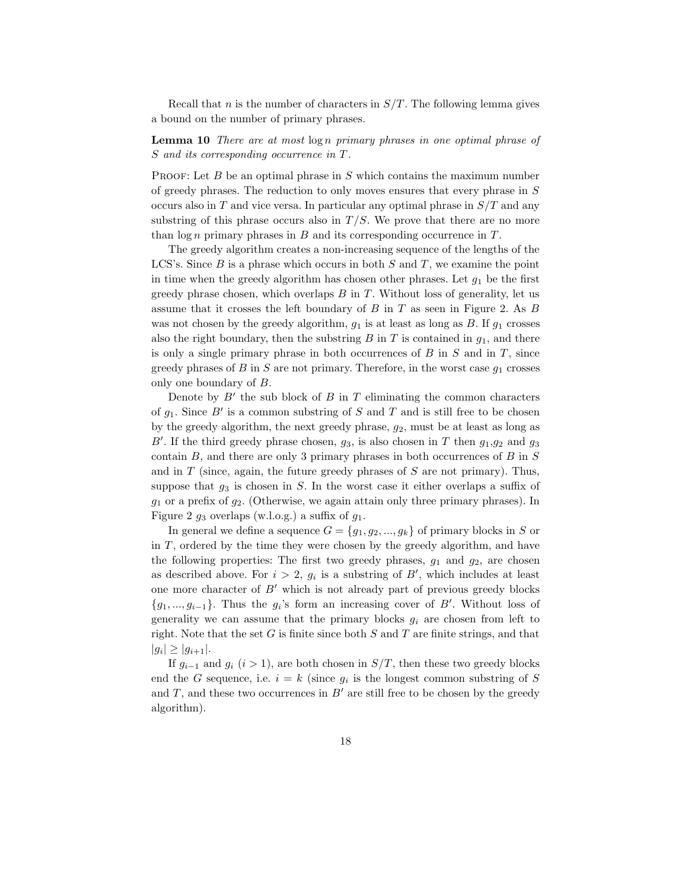Recall that n is the number of characters in  $S/T$ . The following lemma gives a bound on the number of primary phrases.

**Lemma 10** There are at most  $\log n$  primary phrases in one optimal phrase of S and its corresponding occurrence in T.

PROOF: Let  $B$  be an optimal phrase in  $S$  which contains the maximum number of greedy phrases. The reduction to only moves ensures that every phrase in S occurs also in  $T$  and vice versa. In particular any optimal phrase in  $S/T$  and any substring of this phrase occurs also in  $T/S$ . We prove that there are no more than  $\log n$  primary phrases in B and its corresponding occurrence in T.

The greedy algorithm creates a non-increasing sequence of the lengths of the LCS's. Since  $B$  is a phrase which occurs in both  $S$  and  $T$ , we examine the point in time when the greedy algorithm has chosen other phrases. Let  $g_1$  be the first greedy phrase chosen, which overlaps  $B$  in  $T$ . Without loss of generality, let us assume that it crosses the left boundary of  $B$  in  $T$  as seen in Figure 2. As  $B$ was not chosen by the greedy algorithm,  $g_1$  is at least as long as B. If  $g_1$  crosses also the right boundary, then the substring  $B$  in  $T$  is contained in  $g_1$ , and there is only a single primary phrase in both occurrences of  $B$  in  $S$  and in  $T$ , since greedy phrases of B in S are not primary. Therefore, in the worst case  $g_1$  crosses only one boundary of B.

Denote by  $B'$  the sub block of  $B$  in  $T$  eliminating the common characters of  $g_1$ . Since B' is a common substring of S and T and is still free to be chosen by the greedy algorithm, the next greedy phrase,  $g_2$ , must be at least as long as B'. If the third greedy phrase chosen,  $g_3$ , is also chosen in T then  $g_1, g_2$  and  $g_3$ contain  $B$ , and there are only 3 primary phrases in both occurrences of  $B$  in  $S$ and in  $T$  (since, again, the future greedy phrases of  $S$  are not primary). Thus, suppose that  $g_3$  is chosen in S. In the worst case it either overlaps a suffix of  $g_1$  or a prefix of  $g_2$ . (Otherwise, we again attain only three primary phrases). In Figure 2  $g_3$  overlaps (w.l.o.g.) a suffix of  $g_1$ .

In general we define a sequence  $G = \{g_1, g_2, ..., g_k\}$  of primary blocks in S or in T, ordered by the time they were chosen by the greedy algorithm, and have the following properties: The first two greedy phrases,  $g_1$  and  $g_2$ , are chosen as described above. For  $i > 2$ ,  $g_i$  is a substring of B', which includes at least one more character of  $B'$  which is not already part of previous greedy blocks  ${g_1, ..., g_{i-1}}$ . Thus the  $g_i$ 's form an increasing cover of B'. Without loss of generality we can assume that the primary blocks  $g_i$  are chosen from left to right. Note that the set G is finite since both  $S$  and  $T$  are finite strings, and that  $|g_i| \geq |g_{i+1}|.$ 

If  $g_{i-1}$  and  $g_i$  (i > 1), are both chosen in  $S/T$ , then these two greedy blocks end the G sequence, i.e.  $i = k$  (since  $g_i$  is the longest common substring of S and  $T$ , and these two occurrences in  $B'$  are still free to be chosen by the greedy algorithm).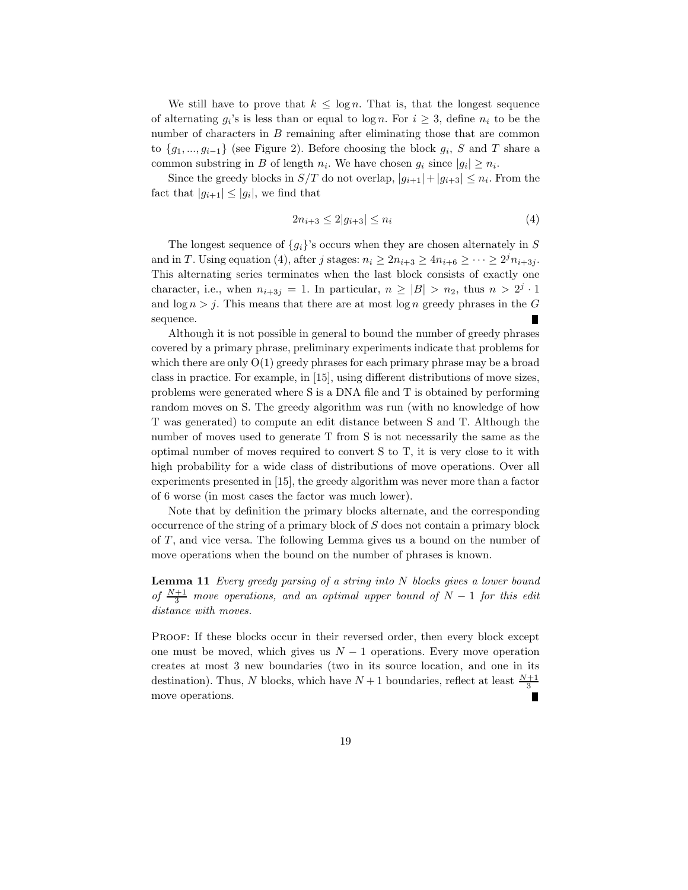We still have to prove that  $k \leq \log n$ . That is, that the longest sequence of alternating  $g_i$ 's is less than or equal to  $\log n$ . For  $i \geq 3$ , define  $n_i$  to be the number of characters in  $B$  remaining after eliminating those that are common to  ${g_1, ..., g_{i-1}}$  (see Figure 2). Before choosing the block  $g_i$ , S and T share a common substring in B of length  $n_i$ . We have chosen  $g_i$  since  $|g_i| \geq n_i$ .

Since the greedy blocks in  $S/T$  do not overlap,  $|g_{i+1}|+|g_{i+3}| \leq n_i$ . From the fact that  $|g_{i+1}| \leq |g_i|$ , we find that

$$
2n_{i+3} \le 2|g_{i+3}| \le n_i \tag{4}
$$

The longest sequence of  $\{g_i\}$ 's occurs when they are chosen alternately in S and in T. Using equation (4), after j stages:  $n_i \ge 2n_{i+3} \ge 4n_{i+6} \ge \cdots \ge 2^j n_{i+3j}$ . This alternating series terminates when the last block consists of exactly one character, i.e., when  $n_{i+3j} = 1$ . In particular,  $n \geq |B| > n_2$ , thus  $n > 2^j \cdot 1$ and  $\log n > j$ . This means that there are at most  $\log n$  greedy phrases in the G sequence.

Although it is not possible in general to bound the number of greedy phrases covered by a primary phrase, preliminary experiments indicate that problems for which there are only  $O(1)$  greedy phrases for each primary phrase may be a broad class in practice. For example, in [15], using different distributions of move sizes, problems were generated where S is a DNA file and T is obtained by performing random moves on S. The greedy algorithm was run (with no knowledge of how T was generated) to compute an edit distance between S and T. Although the number of moves used to generate T from S is not necessarily the same as the optimal number of moves required to convert S to T, it is very close to it with high probability for a wide class of distributions of move operations. Over all experiments presented in [15], the greedy algorithm was never more than a factor of 6 worse (in most cases the factor was much lower).

Note that by definition the primary blocks alternate, and the corresponding occurrence of the string of a primary block of S does not contain a primary block of T, and vice versa. The following Lemma gives us a bound on the number of move operations when the bound on the number of phrases is known.

**Lemma 11** Every greedy parsing of a string into  $N$  blocks gives a lower bound of  $\frac{N+1}{3}$  move operations, and an optimal upper bound of  $N-1$  for this edit distance with moves.

PROOF: If these blocks occur in their reversed order, then every block except one must be moved, which gives us  $N-1$  operations. Every move operation creates at most 3 new boundaries (two in its source location, and one in its destination). Thus, N blocks, which have  $N+1$  boundaries, reflect at least  $\frac{N+1}{3}$ move operations.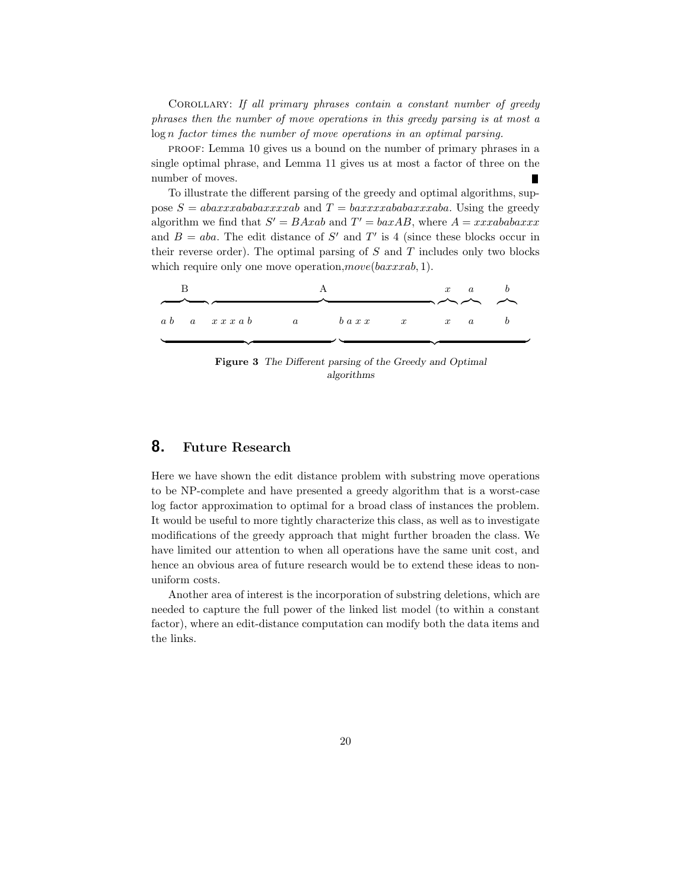COROLLARY: If all primary phrases contain a constant number of greedy phrases then the number of move operations in this greedy parsing is at most a log n factor times the number of move operations in an optimal parsing.

proof: Lemma 10 gives us a bound on the number of primary phrases in a single optimal phrase, and Lemma 11 gives us at most a factor of three on the number of moves. П

To illustrate the different parsing of the greedy and optimal algorithms, suppose  $S = abaxxxababaxxxxab$  and  $T = baxxxxababaxxxaba$ . Using the greedy algorithm we find that  $S' = BAxab$  and  $T' = baxAB$ , where  $A = xxxababaxxx$ and  $B = aba$ . The edit distance of S' and T' is 4 (since these blocks occur in their reverse order). The optimal parsing of  $S$  and  $T$  includes only two blocks which require only one move operation,  $move(baxxxab, 1)$ .

|  |  |                                                                                                        |  |  |                                        | $x \quad a$ |  |
|--|--|--------------------------------------------------------------------------------------------------------|--|--|----------------------------------------|-------------|--|
|  |  |                                                                                                        |  |  | $\longrightarrow$ $\sim$ $\sim$ $\sim$ |             |  |
|  |  | $a \ b \quad a \quad x \, x \, x \, a \, b \qquad a \qquad b \, a \, x \, x \qquad x \qquad x \quad a$ |  |  |                                        |             |  |
|  |  |                                                                                                        |  |  |                                        |             |  |

Figure 3 The Different parsing of the Greedy and Optimal algorithms

## 8. Future Research

Here we have shown the edit distance problem with substring move operations to be NP-complete and have presented a greedy algorithm that is a worst-case log factor approximation to optimal for a broad class of instances the problem. It would be useful to more tightly characterize this class, as well as to investigate modifications of the greedy approach that might further broaden the class. We have limited our attention to when all operations have the same unit cost, and hence an obvious area of future research would be to extend these ideas to nonuniform costs.

Another area of interest is the incorporation of substring deletions, which are needed to capture the full power of the linked list model (to within a constant factor), where an edit-distance computation can modify both the data items and the links.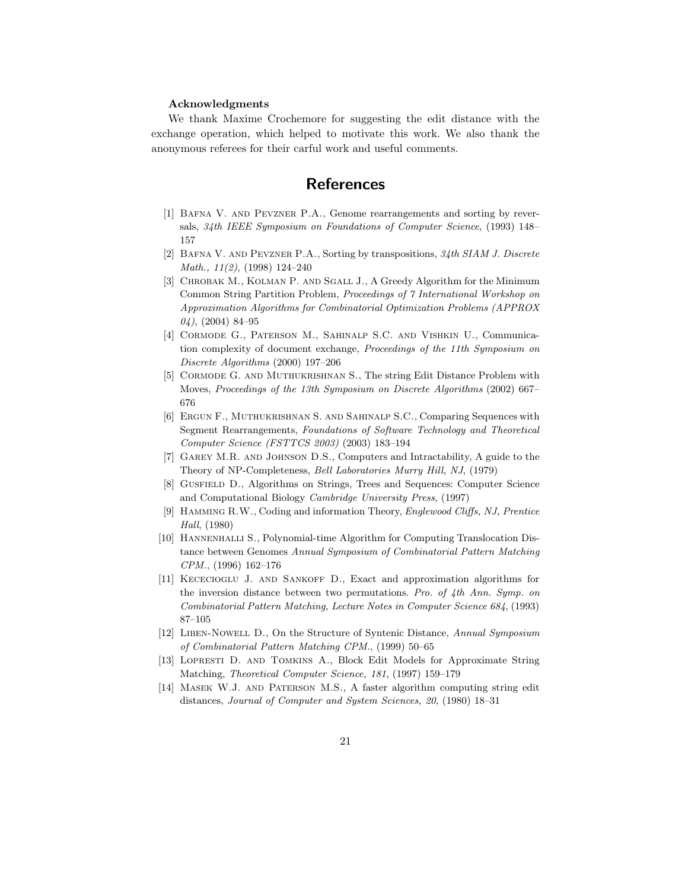#### Acknowledgments

We thank Maxime Crochemore for suggesting the edit distance with the exchange operation, which helped to motivate this work. We also thank the anonymous referees for their carful work and useful comments.

# **References**

- [1] Bafna V. and Pevzner P.A., Genome rearrangements and sorting by reversals, 34th IEEE Symposium on Foundations of Computer Science, (1993) 148– 157
- [2] Bafna V. and Pevzner P.A., Sorting by transpositions, 34th SIAM J. Discrete Math., 11(2), (1998) 124–240
- [3] Chrobak M., Kolman P. and Sgall J., A Greedy Algorithm for the Minimum Common String Partition Problem, Proceedings of 7 International Workshop on Approximation Algorithms for Combinatorial Optimization Problems (APPROX  $04$ ), (2004) 84-95
- [4] Cormode G., Paterson M., Sahinalp S.C. and Vishkin U., Communication complexity of document exchange, Proceedings of the 11th Symposium on Discrete Algorithms (2000) 197–206
- [5] CORMODE G. AND MUTHUKRISHNAN S., The string Edit Distance Problem with Moves, Proceedings of the 13th Symposium on Discrete Algorithms (2002) 667– 676
- [6] Ergun F., Muthukrishnan S. and Sahinalp S.C., Comparing Sequences with Segment Rearrangements, Foundations of Software Technology and Theoretical Computer Science (FSTTCS 2003) (2003) 183–194
- [7] Garey M.R. and Johnson D.S., Computers and Intractability, A guide to the Theory of NP-Completeness, Bell Laboratories Murry Hill, NJ, (1979)
- [8] Gusfield D., Algorithms on Strings, Trees and Sequences: Computer Science and Computational Biology Cambridge University Press, (1997)
- [9] Hamming R.W., Coding and information Theory, Englewood Cliffs, NJ, Prentice Hall, (1980)
- [10] Hannenhalli S., Polynomial-time Algorithm for Computing Translocation Distance between Genomes Annual Symposium of Combinatorial Pattern Matching CPM., (1996) 162–176
- [11] Kececioglu J. and Sankoff D., Exact and approximation algorithms for the inversion distance between two permutations. Pro. of 4th Ann. Symp. on Combinatorial Pattern Matching, Lecture Notes in Computer Science 684, (1993) 87–105
- [12] Liben-Nowell D., On the Structure of Syntenic Distance, Annual Symposium of Combinatorial Pattern Matching CPM., (1999) 50–65
- [13] LOPRESTI D. AND TOMKINS A., Block Edit Models for Approximate String Matching, Theoretical Computer Science, 181, (1997) 159–179
- [14] Masek W.J. and Paterson M.S., A faster algorithm computing string edit distances, Journal of Computer and System Sciences, 20, (1980) 18–31